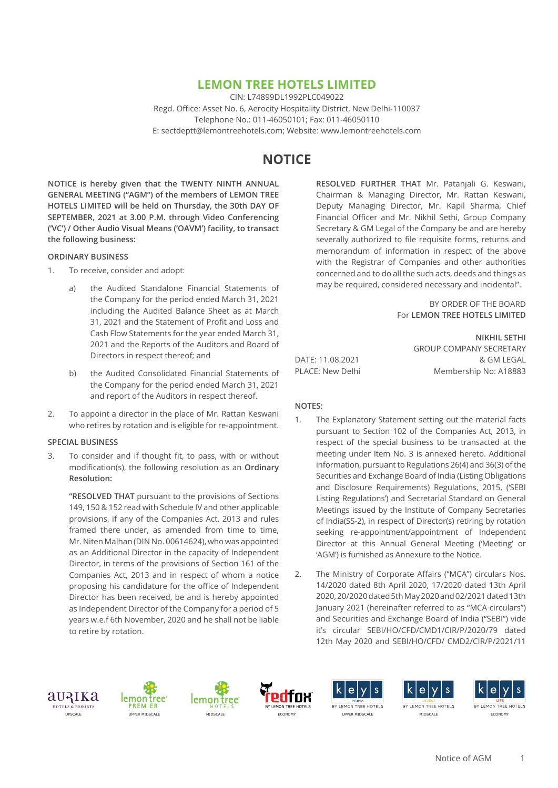## **LEMON TREE HOTELS LIMITED**

CIN: L74899DL1992PLC049022 Regd. Office: Asset No. 6, Aerocity Hospitality District, New Delhi-110037 Telephone No.: 011-46050101; Fax: 011-46050110 E: sectdeptt@lemontreehotels.com; Website: www.lemontreehotels.com

# **NOTICE**

**NOTICE is hereby given that the TWENTY NINTH ANNUAL GENERAL MEETING ("AGM") of the members of LEMON TREE HOTELS LIMITED will be held on Thursday, the 30th DAY OF SEPTEMBER, 2021 at 3.00 P.M. through Video Conferencing ('VC') / Other Audio Visual Means ('OAVM') facility, to transact the following business:**

#### **ORDINARY BUSINESS**

- 1. To receive, consider and adopt:
	- a) the Audited Standalone Financial Statements of the Company for the period ended March 31, 2021 including the Audited Balance Sheet as at March 31, 2021 and the Statement of Profit and Loss and Cash Flow Statements for the year ended March 31, 2021 and the Reports of the Auditors and Board of Directors in respect thereof; and
	- b) the Audited Consolidated Financial Statements of the Company for the period ended March 31, 2021 and report of the Auditors in respect thereof.
- 2. To appoint a director in the place of Mr. Rattan Keswani who retires by rotation and is eligible for re-appointment.

#### **SPECIAL BUSINESS**

3. To consider and if thought fit, to pass, with or without modification(s), the following resolution as an **Ordinary Resolution:**

**"RESOLVED THAT** pursuant to the provisions of Sections 149, 150 & 152 read with Schedule IV and other applicable provisions, if any of the Companies Act, 2013 and rules framed there under, as amended from time to time, Mr. Niten Malhan (DIN No. 00614624), who was appointed as an Additional Director in the capacity of Independent Director, in terms of the provisions of Section 161 of the Companies Act, 2013 and in respect of whom a notice proposing his candidature for the office of Independent Director has been received, be and is hereby appointed as Independent Director of the Company for a period of 5 years w.e.f 6th November, 2020 and he shall not be liable to retire by rotation.

**RESOLVED FURTHER THAT** Mr. Patanjali G. Keswani, Chairman & Managing Director, Mr. Rattan Keswani, Deputy Managing Director, Mr. Kapil Sharma, Chief Financial Officer and Mr. Nikhil Sethi, Group Company Secretary & GM Legal of the Company be and are hereby severally authorized to file requisite forms, returns and memorandum of information in respect of the above with the Registrar of Companies and other authorities concerned and to do all the such acts, deeds and things as may be required, considered necessary and incidental".

> BY ORDER OF THE BOARD For **LEMON TREE HOTELS LIMITED**

DATE: 11.08.2021 & GM LEGAL PLACE: New Delhi Membership No: A18883

**NIKHIL SETHI** GROUP COMPANY SECRETARY

## **NOTES:**

- 1. The Explanatory Statement setting out the material facts pursuant to Section 102 of the Companies Act, 2013, in respect of the special business to be transacted at the meeting under Item No. 3 is annexed hereto. Additional information, pursuant to Regulations 26(4) and 36(3) of the Securities and Exchange Board of India (Listing Obligations and Disclosure Requirements) Regulations, 2015, ('SEBI Listing Regulations') and Secretarial Standard on General Meetings issued by the Institute of Company Secretaries of India(SS-2), in respect of Director(s) retiring by rotation seeking re-appointment/appointment of Independent Director at this Annual General Meeting ('Meeting' or 'AGM') is furnished as Annexure to the Notice.
- 2. The Ministry of Corporate Affairs ("MCA") circulars Nos. 14/2020 dated 8th April 2020, 17/2020 dated 13th April 2020, 20/2020 dated 5th May 2020 and 02/2021 dated 13th January 2021 (hereinafter referred to as "MCA circulars") and Securities and Exchange Board of India ("SEBI") vide it's circular SEBI/HO/CFD/CMD1/CIR/P/2020/79 dated 12th May 2020 and SEBI/HO/CFD/ CMD2/CIR/P/2021/11













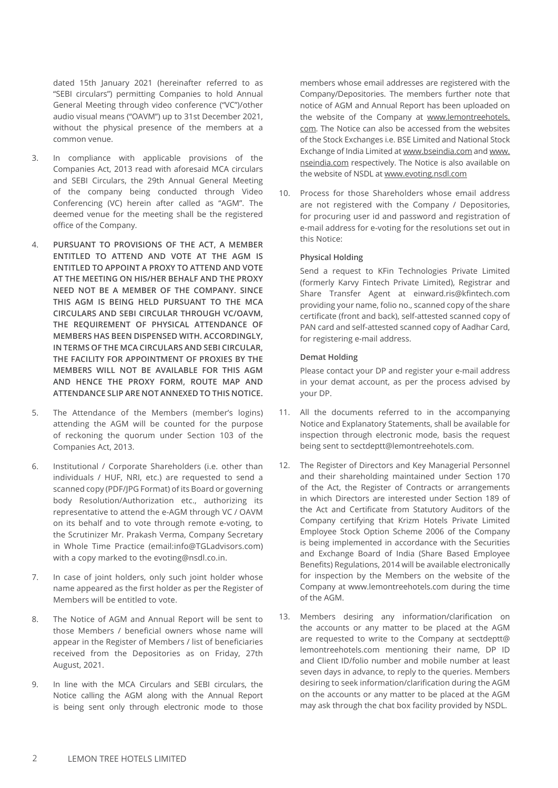dated 15th January 2021 (hereinafter referred to as "SEBI circulars") permitting Companies to hold Annual General Meeting through video conference ("VC")/other audio visual means ("OAVM") up to 31st December 2021, without the physical presence of the members at a common venue.

- 3. In compliance with applicable provisions of the Companies Act, 2013 read with aforesaid MCA circulars and SEBI Circulars, the 29th Annual General Meeting of the company being conducted through Video Conferencing (VC) herein after called as "AGM". The deemed venue for the meeting shall be the registered office of the Company.
- 4. **PURSUANT TO PROVISIONS OF THE ACT, A MEMBER ENTITLED TO ATTEND AND VOTE AT THE AGM IS ENTITLED TO APPOINT A PROXY TO ATTEND AND VOTE AT THE MEETING ON HIS/HER BEHALF AND THE PROXY NEED NOT BE A MEMBER OF THE COMPANY. SINCE THIS AGM IS BEING HELD PURSUANT TO THE MCA CIRCULARS AND SEBI CIRCULAR THROUGH VC/OAVM, THE REQUIREMENT OF PHYSICAL ATTENDANCE OF MEMBERS HAS BEEN DISPENSED WITH. ACCORDINGLY, IN TERMS OF THE MCA CIRCULARS AND SEBI CIRCULAR, THE FACILITY FOR APPOINTMENT OF PROXIES BY THE MEMBERS WILL NOT BE AVAILABLE FOR THIS AGM AND HENCE THE PROXY FORM, ROUTE MAP AND ATTENDANCE SLIP ARE NOT ANNEXED TO THIS NOTICE.**
- 5. The Attendance of the Members (member's logins) attending the AGM will be counted for the purpose of reckoning the quorum under Section 103 of the Companies Act, 2013.
- 6. Institutional / Corporate Shareholders (i.e. other than individuals / HUF, NRI, etc.) are requested to send a scanned copy (PDF/JPG Format) of its Board or governing body Resolution/Authorization etc., authorizing its representative to attend the e-AGM through VC / OAVM on its behalf and to vote through remote e-voting, to the Scrutinizer Mr. Prakash Verma, Company Secretary in Whole Time Practice (email:info@TGLadvisors.com) with a copy marked to the evoting@nsdl.co.in.
- 7. In case of joint holders, only such joint holder whose name appeared as the first holder as per the Register of Members will be entitled to vote.
- 8. The Notice of AGM and Annual Report will be sent to those Members / beneficial owners whose name will appear in the Register of Members / list of beneficiaries received from the Depositories as on Friday, 27th August, 2021.
- 9. In line with the MCA Circulars and SEBI circulars, the Notice calling the AGM along with the Annual Report is being sent only through electronic mode to those

members whose email addresses are registered with the Company/Depositories. The members further note that notice of AGM and Annual Report has been uploaded on the website of the Company at www.lemontreehotels. com. The Notice can also be accessed from the websites of the Stock Exchanges i.e. BSE Limited and National Stock Exchange of India Limited at www.bseindia.com and www. nseindia.com respectively. The Notice is also available on the website of NSDL at www.evoting.nsdl.com

10. Process for those Shareholders whose email address are not registered with the Company / Depositories, for procuring user id and password and registration of e-mail address for e-voting for the resolutions set out in this Notice:

#### **Physical Holding**

Send a request to KFin Technologies Private Limited (formerly Karvy Fintech Private Limited), Registrar and Share Transfer Agent at einward.ris@kfintech.com providing your name, folio no., scanned copy of the share certificate (front and back), self-attested scanned copy of PAN card and self-attested scanned copy of Aadhar Card, for registering e-mail address.

#### **Demat Holding**

Please contact your DP and register your e-mail address in your demat account, as per the process advised by your DP.

- 11. All the documents referred to in the accompanying Notice and Explanatory Statements, shall be available for inspection through electronic mode, basis the request being sent to sectdeptt@lemontreehotels.com.
- 12. The Register of Directors and Key Managerial Personnel and their shareholding maintained under Section 170 of the Act, the Register of Contracts or arrangements in which Directors are interested under Section 189 of the Act and Certificate from Statutory Auditors of the Company certifying that Krizm Hotels Private Limited Employee Stock Option Scheme 2006 of the Company is being implemented in accordance with the Securities and Exchange Board of India (Share Based Employee Benefits) Regulations, 2014 will be available electronically for inspection by the Members on the website of the Company at www.lemontreehotels.com during the time of the AGM.
- 13. Members desiring any information/clarification on the accounts or any matter to be placed at the AGM are requested to write to the Company at sectdeptt@ lemontreehotels.com mentioning their name, DP ID and Client ID/folio number and mobile number at least seven days in advance, to reply to the queries. Members desiring to seek information/clarification during the AGM on the accounts or any matter to be placed at the AGM may ask through the chat box facility provided by NSDL.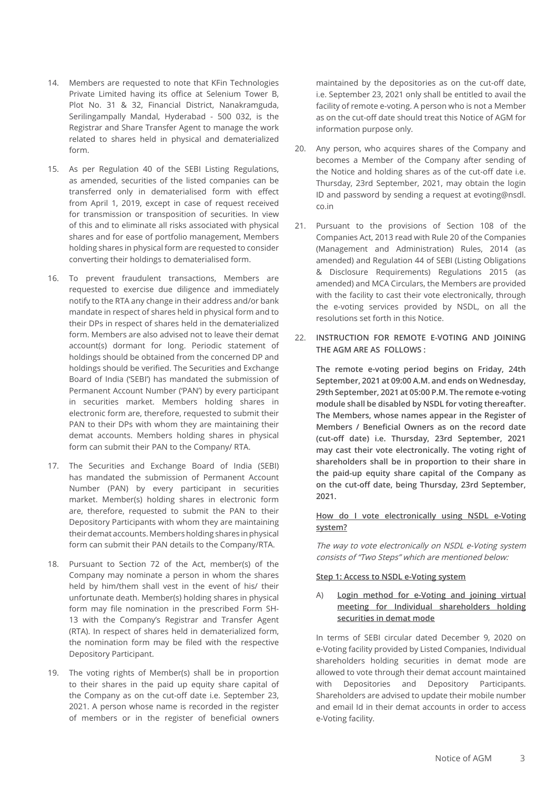- 14. Members are requested to note that KFin Technologies Private Limited having its office at Selenium Tower B, Plot No. 31 & 32, Financial District, Nanakramguda, Serilingampally Mandal, Hyderabad - 500 032, is the Registrar and Share Transfer Agent to manage the work related to shares held in physical and dematerialized form.
- 15. As per Regulation 40 of the SEBI Listing Regulations, as amended, securities of the listed companies can be transferred only in dematerialised form with effect from April 1, 2019, except in case of request received for transmission or transposition of securities. In view of this and to eliminate all risks associated with physical shares and for ease of portfolio management, Members holding shares in physical form are requested to consider converting their holdings to dematerialised form.
- 16. To prevent fraudulent transactions, Members are requested to exercise due diligence and immediately notify to the RTA any change in their address and/or bank mandate in respect of shares held in physical form and to their DPs in respect of shares held in the dematerialized form. Members are also advised not to leave their demat account(s) dormant for long. Periodic statement of holdings should be obtained from the concerned DP and holdings should be verified. The Securities and Exchange Board of India ('SEBI') has mandated the submission of Permanent Account Number ('PAN') by every participant in securities market. Members holding shares in electronic form are, therefore, requested to submit their PAN to their DPs with whom they are maintaining their demat accounts. Members holding shares in physical form can submit their PAN to the Company/ RTA.
- 17. The Securities and Exchange Board of India (SEBI) has mandated the submission of Permanent Account Number (PAN) by every participant in securities market. Member(s) holding shares in electronic form are, therefore, requested to submit the PAN to their Depository Participants with whom they are maintaining their demat accounts. Members holding shares in physical form can submit their PAN details to the Company/RTA.
- 18. Pursuant to Section 72 of the Act, member(s) of the Company may nominate a person in whom the shares held by him/them shall vest in the event of his/ their unfortunate death. Member(s) holding shares in physical form may file nomination in the prescribed Form SH-13 with the Company's Registrar and Transfer Agent (RTA). In respect of shares held in dematerialized form, the nomination form may be filed with the respective Depository Participant.
- 19. The voting rights of Member(s) shall be in proportion to their shares in the paid up equity share capital of the Company as on the cut-off date i.e. September 23, 2021. A person whose name is recorded in the register of members or in the register of beneficial owners

maintained by the depositories as on the cut-off date, i.e. September 23, 2021 only shall be entitled to avail the facility of remote e-voting. A person who is not a Member as on the cut-off date should treat this Notice of AGM for information purpose only.

- 20. Any person, who acquires shares of the Company and becomes a Member of the Company after sending of the Notice and holding shares as of the cut-off date i.e. Thursday, 23rd September, 2021, may obtain the login ID and password by sending a request at evoting@nsdl. co.in
- 21. Pursuant to the provisions of Section 108 of the Companies Act, 2013 read with Rule 20 of the Companies (Management and Administration) Rules, 2014 (as amended) and Regulation 44 of SEBI (Listing Obligations & Disclosure Requirements) Regulations 2015 (as amended) and MCA Circulars, the Members are provided with the facility to cast their vote electronically, through the e-voting services provided by NSDL, on all the resolutions set forth in this Notice.
- 22. **INSTRUCTION FOR REMOTE E-VOTING AND JOINING THE AGM ARE AS FOLLOWS :**

**The remote e-voting period begins on Friday, 24th September, 2021 at 09:00 A.M. and ends on Wednesday, 29th September, 2021 at 05:00 P.M. The remote e-voting module shall be disabled by NSDL for voting thereafter. The Members, whose names appear in the Register of Members / Beneficial Owners as on the record date (cut-off date) i.e. Thursday, 23rd September, 2021 may cast their vote electronically. The voting right of shareholders shall be in proportion to their share in the paid-up equity share capital of the Company as on the cut-off date, being Thursday, 23rd September, 2021.**

## **How do I vote electronically using NSDL e-Voting system?**

The way to vote electronically on NSDL e-Voting system consists of "Two Steps" which are mentioned below:

#### **Step 1: Access to NSDL e-Voting system**

## A) **Login method for e-Voting and joining virtual meeting for Individual shareholders holding securities in demat mode**

In terms of SEBI circular dated December 9, 2020 on e-Voting facility provided by Listed Companies, Individual shareholders holding securities in demat mode are allowed to vote through their demat account maintained with Depositories and Depository Participants. Shareholders are advised to update their mobile number and email Id in their demat accounts in order to access e-Voting facility.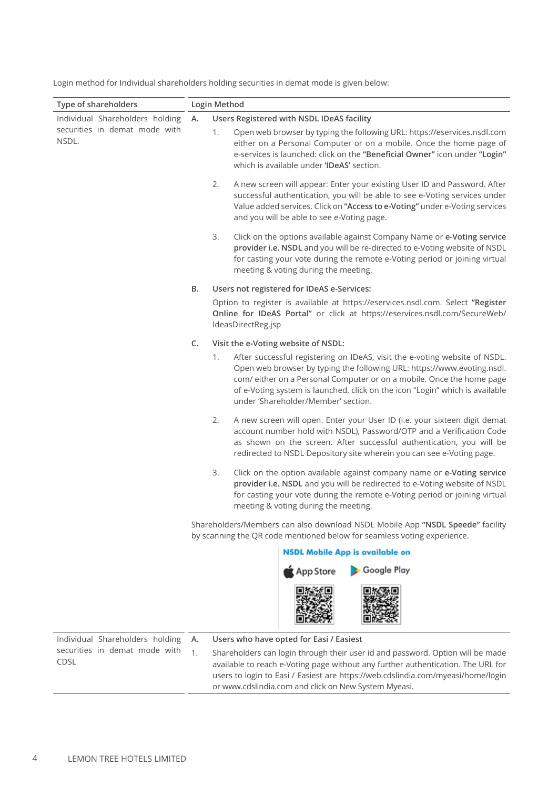| Type of shareholders                                                      | Login Method |                                                                                                                                                                                                                                                                                                                                                             |  |  |
|---------------------------------------------------------------------------|--------------|-------------------------------------------------------------------------------------------------------------------------------------------------------------------------------------------------------------------------------------------------------------------------------------------------------------------------------------------------------------|--|--|
| Individual Shareholders holding<br>securities in demat mode with<br>NSDL. | Α.           | Users Registered with NSDL IDeAS facility<br>Open web browser by typing the following URL: https://eservices.nsdl.com<br>1.<br>either on a Personal Computer or on a mobile. Once the home page of<br>e-services is launched: click on the "Beneficial Owner" icon under "Login"<br>which is available under 'IDeAS' section.                               |  |  |
|                                                                           |              | 2.<br>A new screen will appear: Enter your existing User ID and Password. After<br>successful authentication, you will be able to see e-Voting services under<br>Value added services. Click on "Access to e-Voting" under e-Voting services<br>and you will be able to see e-Voting page.                                                                  |  |  |
|                                                                           |              | 3.<br>Click on the options available against Company Name or e-Voting service<br>provider i.e. NSDL and you will be re-directed to e-Voting website of NSDL<br>for casting your vote during the remote e-Voting period or joining virtual<br>meeting & voting during the meeting.                                                                           |  |  |
|                                                                           | В.           | Users not registered for IDeAS e-Services:                                                                                                                                                                                                                                                                                                                  |  |  |
|                                                                           |              | Option to register is available at https://eservices.nsdl.com. Select "Register<br>Online for IDeAS Portal" or click at https://eservices.nsdl.com/SecureWeb/<br>IdeasDirectReg.jsp                                                                                                                                                                         |  |  |
|                                                                           | C.           | Visit the e-Voting website of NSDL:                                                                                                                                                                                                                                                                                                                         |  |  |
|                                                                           |              | After successful registering on IDeAS, visit the e-voting website of NSDL.<br>1.<br>Open web browser by typing the following URL: https://www.evoting.nsdl.<br>com/ either on a Personal Computer or on a mobile. Once the home page<br>of e-Voting system is launched, click on the icon "Login" which is available<br>under 'Shareholder/Member' section. |  |  |
|                                                                           |              | 2.<br>A new screen will open. Enter your User ID (i.e. your sixteen digit demat<br>account number hold with NSDL), Password/OTP and a Verification Code<br>as shown on the screen. After successful authentication, you will be<br>redirected to NSDL Depository site wherein you can see e-Voting page.                                                    |  |  |
|                                                                           |              | 3.<br>Click on the option available against company name or e-Voting service<br>provider i.e. NSDL and you will be redirected to e-Voting website of NSDL<br>for casting your vote during the remote e-Voting period or joining virtual<br>meeting & voting during the meeting.                                                                             |  |  |
|                                                                           |              | Shareholders/Members can also download NSDL Mobile App "NSDL Speede" facility<br>by scanning the QR code mentioned below for seamless voting experience.                                                                                                                                                                                                    |  |  |
|                                                                           |              | <b>NSDL Mobile App is available on</b>                                                                                                                                                                                                                                                                                                                      |  |  |
|                                                                           |              | Google Play<br>App Store                                                                                                                                                                                                                                                                                                                                    |  |  |
|                                                                           |              |                                                                                                                                                                                                                                                                                                                                                             |  |  |
| Individual Shareholders holding                                           | А.           | Users who have opted for Easi / Easiest                                                                                                                                                                                                                                                                                                                     |  |  |
| securities in demat mode with<br>CDSL                                     | 1.           | Shareholders can login through their user id and password. Option will be made<br>available to reach e-Voting page without any further authentication. The URL for<br>users to login to Easi / Easiest are https://web.cdslindia.com/myeasi/home/login<br>or www.cdslindia.com and click on New System Myeasi.                                              |  |  |

Login method for Individual shareholders holding securities in demat mode is given below: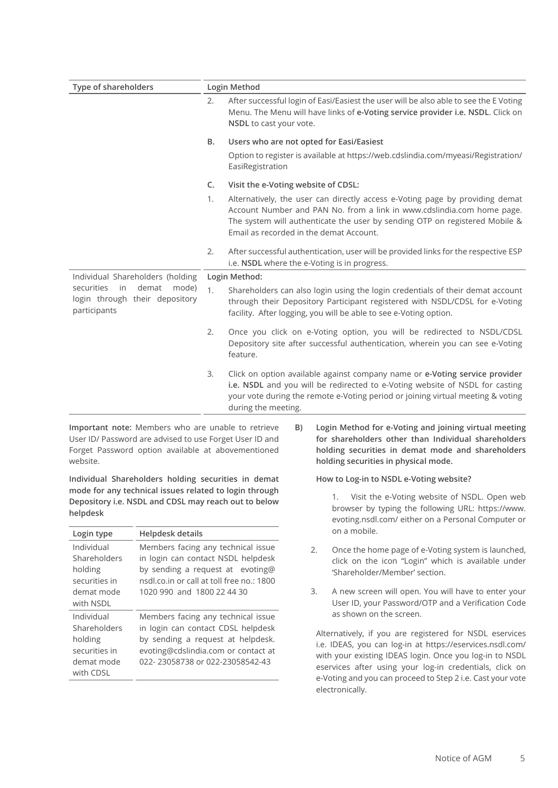| Type of shareholders                                                                 |         | Login Method                                                                                                                                                                                                                                                                     |  |  |
|--------------------------------------------------------------------------------------|---------|----------------------------------------------------------------------------------------------------------------------------------------------------------------------------------------------------------------------------------------------------------------------------------|--|--|
|                                                                                      |         | After successful login of Easi/Easiest the user will be also able to see the E Voting<br>Menu. The Menu will have links of e-Voting service provider i.e. NSDL. Click on<br>NSDL to cast your vote.                                                                              |  |  |
|                                                                                      | B.      | Users who are not opted for Easi/Easiest                                                                                                                                                                                                                                         |  |  |
|                                                                                      |         | Option to register is available at https://web.cdslindia.com/myeasi/Registration/<br>EasiRegistration                                                                                                                                                                            |  |  |
|                                                                                      | $C_{1}$ | Visit the e-Voting website of CDSL:                                                                                                                                                                                                                                              |  |  |
|                                                                                      | 1.      | Alternatively, the user can directly access e-Voting page by providing demat<br>Account Number and PAN No. from a link in www.cdslindia.com home page.<br>The system will authenticate the user by sending OTP on registered Mobile &<br>Email as recorded in the demat Account. |  |  |
|                                                                                      | 2.      | After successful authentication, user will be provided links for the respective ESP<br>i.e. NSDL where the e-Voting is in progress.                                                                                                                                              |  |  |
| Individual Shareholders (holding                                                     |         | Login Method:                                                                                                                                                                                                                                                                    |  |  |
| securities<br>demat<br>in<br>mode)<br>login through their depository<br>participants | 1.      | Shareholders can also login using the login credentials of their demat account<br>through their Depository Participant registered with NSDL/CDSL for e-Voting<br>facility. After logging, you will be able to see e-Voting option.                                               |  |  |
|                                                                                      | 2.      | Once you click on e-Voting option, you will be redirected to NSDL/CDSL<br>Depository site after successful authentication, wherein you can see e-Voting<br>feature.                                                                                                              |  |  |
|                                                                                      | 3.      | Click on option available against company name or e-Voting service provider<br>i.e. NSDL and you will be redirected to e-Voting website of NSDL for casting<br>your vote during the remote e-Voting period or joining virtual meeting & voting<br>during the meeting.            |  |  |

 **Important note:** Members who are unable to retrieve User ID/ Password are advised to use Forget User ID and Forget Password option available at abovementioned website.

**Individual Shareholders holding securities in demat mode for any technical issues related to login through Depository i.e. NSDL and CDSL may reach out to below helpdesk**

| Login type                                                                        | Helpdesk details                                                                                                                                                                        |
|-----------------------------------------------------------------------------------|-----------------------------------------------------------------------------------------------------------------------------------------------------------------------------------------|
| Individual<br>Shareholders<br>holding<br>securities in<br>demat mode<br>with NSDI | Members facing any technical issue<br>in login can contact NSDL helpdesk<br>by sending a request at evoting@<br>nsdl.co.in or call at toll free no.: 1800<br>1020 990 and 1800 22 44 30 |
| Individual<br>Shareholders<br>holding<br>securities in<br>demat mode<br>with CDSL | Members facing any technical issue<br>in login can contact CDSL helpdesk<br>by sending a request at helpdesk.<br>evoting@cdslindia.com or contact at<br>022-23058738 or 022-23058542-43 |

**B) Login Method for e-Voting and joining virtual meeting for shareholders other than Individual shareholders holding securities in demat mode and shareholders holding securities in physical mode.**

#### **How to Log-in to NSDL e-Voting website?**

1. Visit the e-Voting website of NSDL. Open web browser by typing the following URL: https://www. evoting.nsdl.com/ either on a Personal Computer or on a mobile.

- 2. Once the home page of e-Voting system is launched, click on the icon "Login" which is available under 'Shareholder/Member' section.
- 3. A new screen will open. You will have to enter your User ID, your Password/OTP and a Verification Code as shown on the screen.

Alternatively, if you are registered for NSDL eservices i.e. IDEAS, you can log-in at https://eservices.nsdl.com/ with your existing IDEAS login. Once you log-in to NSDL eservices after using your log-in credentials, click on e-Voting and you can proceed to Step 2 i.e. Cast your vote electronically.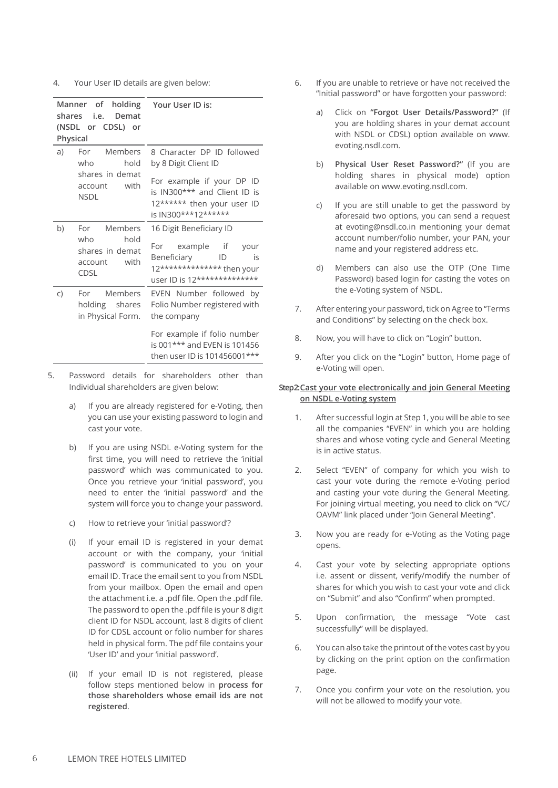4. Your User ID details are given below:

| shares | Manner of<br>i.e.<br>Demat<br>(NSDL or CDSL) or<br>Physical              | holding Your User ID is:                                                                                                                  |
|--------|--------------------------------------------------------------------------|-------------------------------------------------------------------------------------------------------------------------------------------|
| a)     | For Members<br>who<br>hold                                               | 8 Character DP ID followed<br>by 8 Digit Client ID                                                                                        |
|        | shares in demat<br>with<br>account<br><b>NSDL</b>                        | For example if your DP ID<br>is IN300*** and Client ID is<br>12****** then your user ID<br>is IN300***12******                            |
| b)     | For Members<br>hold<br>who<br>shares in demat<br>with<br>account<br>CDSL | 16 Digit Beneficiary ID<br>For example if<br>your<br>Beneficiary<br>ID<br>is<br>12************** then your<br>user ID is 12************** |
| C)     | For Members<br>holding shares<br>in Physical Form.                       | EVEN Number followed by<br>Folio Number registered with<br>the company                                                                    |
|        |                                                                          | For example if folio number<br>is 001*** and EVEN is 101456<br>then user ID is 101456001***                                               |

- 5. Password details for shareholders other than Individual shareholders are given below:
	- a) If you are already registered for e-Voting, then you can use your existing password to login and cast your vote.
	- b) If you are using NSDL e-Voting system for the first time, you will need to retrieve the 'initial password' which was communicated to you. Once you retrieve your 'initial password', you need to enter the 'initial password' and the system will force you to change your password.
	- c) How to retrieve your 'initial password'?
	- (i) If your email ID is registered in your demat account or with the company, your 'initial password' is communicated to you on your email ID. Trace the email sent to you from NSDL from your mailbox. Open the email and open the attachment i.e. a .pdf file. Open the .pdf file. The password to open the .pdf file is your 8 digit client ID for NSDL account, last 8 digits of client ID for CDSL account or folio number for shares held in physical form. The pdf file contains your 'User ID' and your 'initial password'.
	- (ii) If your email ID is not registered, please follow steps mentioned below in **process for those shareholders whose email ids are not registered**.
- 6. If you are unable to retrieve or have not received the "Initial password" or have forgotten your password:
	- a) Click on **"Forgot User Details/Password?"** (If you are holding shares in your demat account with NSDL or CDSL) option available on www. evoting.nsdl.com.
	- b) **Physical User Reset Password?"** (If you are holding shares in physical mode) option available on www.evoting.nsdl.com.
	- c) If you are still unable to get the password by aforesaid two options, you can send a request at evoting@nsdl.co.in mentioning your demat account number/folio number, your PAN, your name and your registered address etc.
	- d) Members can also use the OTP (One Time Password) based login for casting the votes on the e-Voting system of NSDL.
- 7. After entering your password, tick on Agree to "Terms and Conditions" by selecting on the check box.
- 8. Now, you will have to click on "Login" button.
- 9. After you click on the "Login" button, Home page of e-Voting will open.

#### **Step 2:Cast your vote electronically and join General Meeting on NSDL e-Voting system**

- 1. After successful login at Step 1, you will be able to see all the companies "EVEN" in which you are holding shares and whose voting cycle and General Meeting is in active status.
- 2. Select "EVEN" of company for which you wish to cast your vote during the remote e-Voting period and casting your vote during the General Meeting. For joining virtual meeting, you need to click on "VC/ OAVM" link placed under "Join General Meeting".
- 3. Now you are ready for e-Voting as the Voting page opens.
- 4. Cast your vote by selecting appropriate options i.e. assent or dissent, verify/modify the number of shares for which you wish to cast your vote and click on "Submit" and also "Confirm" when prompted.
- 5. Upon confirmation, the message "Vote cast successfully" will be displayed.
- 6. You can also take the printout of the votes cast by you by clicking on the print option on the confirmation page.
- 7. Once you confirm your vote on the resolution, you will not be allowed to modify your vote.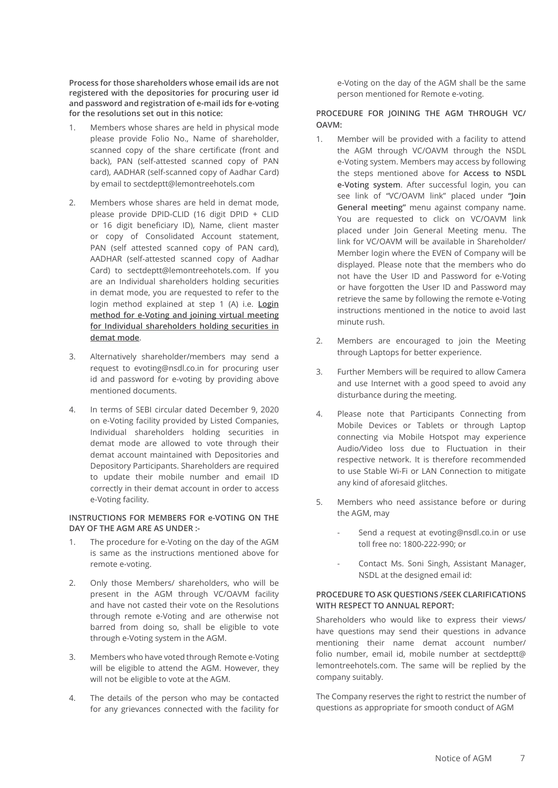**Process for those shareholders whose email ids are not registered with the depositories for procuring user id and password and registration of e-mail ids for e-voting for the resolutions set out in this notice:**

- 1. Members whose shares are held in physical mode please provide Folio No., Name of shareholder, scanned copy of the share certificate (front and back), PAN (self-attested scanned copy of PAN card), AADHAR (self-scanned copy of Aadhar Card) by email to sectdeptt@lemontreehotels.com
- 2. Members whose shares are held in demat mode, please provide DPID-CLID (16 digit DPID + CLID or 16 digit beneficiary ID), Name, client master or copy of Consolidated Account statement, PAN (self attested scanned copy of PAN card), AADHAR (self-attested scanned copy of Aadhar Card) to sectdeptt@lemontreehotels.com. If you are an Individual shareholders holding securities in demat mode, you are requested to refer to the login method explained at step 1 (A) i.e. **Login method for e-Voting and joining virtual meeting for Individual shareholders holding securities in demat mode**.
- 3. Alternatively shareholder/members may send a request to evoting@nsdl.co.in for procuring user id and password for e-voting by providing above mentioned documents.
- 4. In terms of SEBI circular dated December 9, 2020 on e-Voting facility provided by Listed Companies, Individual shareholders holding securities in demat mode are allowed to vote through their demat account maintained with Depositories and Depository Participants. Shareholders are required to update their mobile number and email ID correctly in their demat account in order to access e-Voting facility.

## **INSTRUCTIONS FOR MEMBERS FOR e-VOTING ON THE DAY OF THE AGM ARE AS UNDER :-**

- 1. The procedure for e-Voting on the day of the AGM is same as the instructions mentioned above for remote e-voting.
- 2. Only those Members/ shareholders, who will be present in the AGM through VC/OAVM facility and have not casted their vote on the Resolutions through remote e-Voting and are otherwise not barred from doing so, shall be eligible to vote through e-Voting system in the AGM.
- 3. Members who have voted through Remote e-Voting will be eligible to attend the AGM. However, they will not be eligible to vote at the AGM.
- 4. The details of the person who may be contacted for any grievances connected with the facility for

e-Voting on the day of the AGM shall be the same person mentioned for Remote e-voting.

## **PROCEDURE FOR JOINING THE AGM THROUGH VC/ OAVM:**

- 1. Member will be provided with a facility to attend the AGM through VC/OAVM through the NSDL e-Voting system. Members may access by following the steps mentioned above for **Access to NSDL e-Voting system**. After successful login, you can see link of "VC/OAVM link" placed under **"Join General meeting"** menu against company name. You are requested to click on VC/OAVM link placed under Join General Meeting menu. The link for VC/OAVM will be available in Shareholder/ Member login where the EVEN of Company will be displayed. Please note that the members who do not have the User ID and Password for e-Voting or have forgotten the User ID and Password may retrieve the same by following the remote e-Voting instructions mentioned in the notice to avoid last minute rush.
- 2. Members are encouraged to join the Meeting through Laptops for better experience.
- 3. Further Members will be required to allow Camera and use Internet with a good speed to avoid any disturbance during the meeting.
- 4. Please note that Participants Connecting from Mobile Devices or Tablets or through Laptop connecting via Mobile Hotspot may experience Audio/Video loss due to Fluctuation in their respective network. It is therefore recommended to use Stable Wi-Fi or LAN Connection to mitigate any kind of aforesaid glitches.
- 5. Members who need assistance before or during the AGM, may
	- Send a request at evoting@nsdl.co.in or use toll free no: 1800-222-990; or
	- Contact Ms. Soni Singh, Assistant Manager, NSDL at the designed email id:

#### **PROCEDURE TO ASK QUESTIONS /SEEK CLARIFICATIONS WITH RESPECT TO ANNUAL REPORT:**

Shareholders who would like to express their views/ have questions may send their questions in advance mentioning their name demat account number/ folio number, email id, mobile number at sectdeptt@ lemontreehotels.com. The same will be replied by the company suitably.

The Company reserves the right to restrict the number of questions as appropriate for smooth conduct of AGM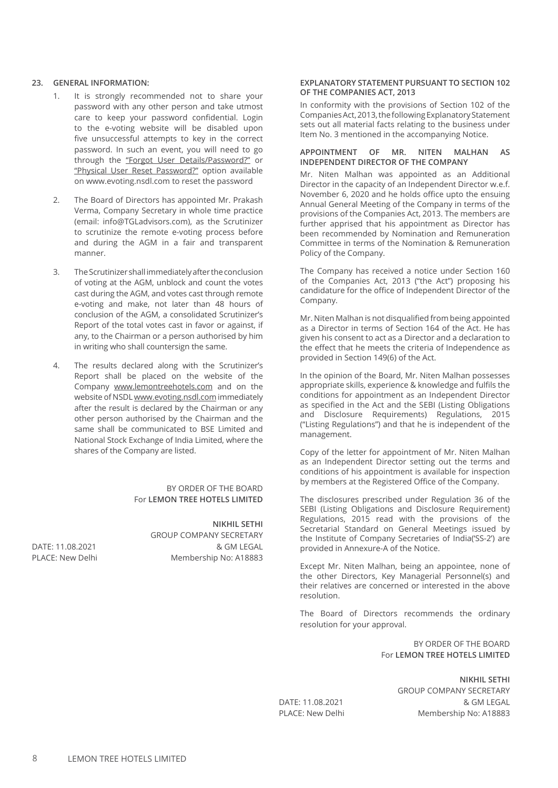#### **23. GENERAL INFORMATION:**

- 1. It is strongly recommended not to share your password with any other person and take utmost care to keep your password confidential. Login to the e-voting website will be disabled upon five unsuccessful attempts to key in the correct password. In such an event, you will need to go through the "Forgot User Details/Password?" or "Physical User Reset Password?" option available on www.evoting.nsdl.com to reset the password
- 2. The Board of Directors has appointed Mr. Prakash Verma, Company Secretary in whole time practice (email: info@TGLadvisors.com), as the Scrutinizer to scrutinize the remote e-voting process before and during the AGM in a fair and transparent manner.
- 3. The Scrutinizer shall immediately after the conclusion of voting at the AGM, unblock and count the votes cast during the AGM, and votes cast through remote e-voting and make, not later than 48 hours of conclusion of the AGM, a consolidated Scrutinizer's Report of the total votes cast in favor or against, if any, to the Chairman or a person authorised by him in writing who shall countersign the same.
- 4. The results declared along with the Scrutinizer's Report shall be placed on the website of the Company www.lemontreehotels.com and on the website of NSDL www.evoting.nsdl.com immediately after the result is declared by the Chairman or any other person authorised by the Chairman and the same shall be communicated to BSE Limited and National Stock Exchange of India Limited, where the shares of the Company are listed.

#### BY ORDER OF THE BOARD For **LEMON TREE HOTELS LIMITED**

**NIKHIL SETHI** GROUP COMPANY SECRETARY DATE: 11.08.2021 & GM LEGAL PLACE: New Delhi Membership No: A18883

#### **EXPLANATORY STATEMENT PURSUANT TO SECTION 102 OF THE COMPANIES ACT, 2013**

In conformity with the provisions of Section 102 of the Companies Act, 2013, the following Explanatory Statement sets out all material facts relating to the business under Item No. 3 mentioned in the accompanying Notice.

#### **APPOINTMENT OF MR. NITEN MALHAN AS INDEPENDENT DIRECTOR OF THE COMPANY**

Mr. Niten Malhan was appointed as an Additional Director in the capacity of an Independent Director w.e.f. November 6, 2020 and he holds office upto the ensuing Annual General Meeting of the Company in terms of the provisions of the Companies Act, 2013. The members are further apprised that his appointment as Director has been recommended by Nomination and Remuneration Committee in terms of the Nomination & Remuneration Policy of the Company.

The Company has received a notice under Section 160 of the Companies Act, 2013 ("the Act") proposing his candidature for the office of Independent Director of the Company.

Mr. Niten Malhan is not disqualified from being appointed as a Director in terms of Section 164 of the Act. He has given his consent to act as a Director and a declaration to the effect that he meets the criteria of Independence as provided in Section 149(6) of the Act.

In the opinion of the Board, Mr. Niten Malhan possesses appropriate skills, experience & knowledge and fulfils the conditions for appointment as an Independent Director as specified in the Act and the SEBI (Listing Obligations and Disclosure Requirements) Regulations, 2015 ("Listing Regulations") and that he is independent of the management.

Copy of the letter for appointment of Mr. Niten Malhan as an Independent Director setting out the terms and conditions of his appointment is available for inspection by members at the Registered Office of the Company.

The disclosures prescribed under Regulation 36 of the SEBI (Listing Obligations and Disclosure Requirement) Regulations, 2015 read with the provisions of the Secretarial Standard on General Meetings issued by the Institute of Company Secretaries of India('SS-2') are provided in Annexure-A of the Notice.

Except Mr. Niten Malhan, being an appointee, none of the other Directors, Key Managerial Personnel(s) and their relatives are concerned or interested in the above resolution.

The Board of Directors recommends the ordinary resolution for your approval.

> BY ORDER OF THE BOARD For **LEMON TREE HOTELS LIMITED**

**NIKHIL SETHI** GROUP COMPANY SECRETARY DATE: 11.08.2021 & GM LEGAL PLACE: New Delhi Membership No: A18883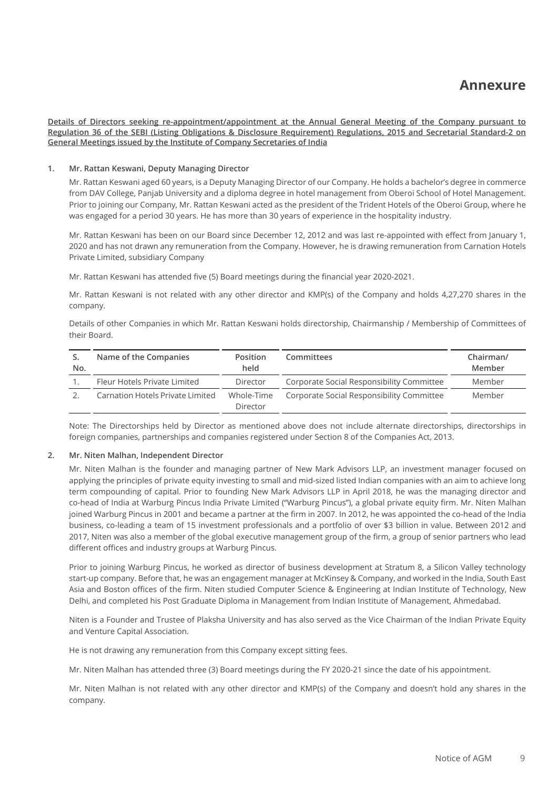**Details of Directors seeking re-appointment/appointment at the Annual General Meeting of the Company pursuant to Regulation 36 of the SEBI (Listing Obligations & Disclosure Requirement) Regulations, 2015 and Secretarial Standard-2 on General Meetings issued by the Institute of Company Secretaries of India**

## **1. Mr. Rattan Keswani, Deputy Managing Director**

Mr. Rattan Keswani aged 60 years, is a Deputy Managing Director of our Company. He holds a bachelor's degree in commerce from DAV College, Panjab University and a diploma degree in hotel management from Oberoi School of Hotel Management. Prior to joining our Company, Mr. Rattan Keswani acted as the president of the Trident Hotels of the Oberoi Group, where he was engaged for a period 30 years. He has more than 30 years of experience in the hospitality industry.

Mr. Rattan Keswani has been on our Board since December 12, 2012 and was last re-appointed with effect from January 1, 2020 and has not drawn any remuneration from the Company. However, he is drawing remuneration from Carnation Hotels Private Limited, subsidiary Company

Mr. Rattan Keswani has attended five (5) Board meetings during the financial year 2020-2021.

Mr. Rattan Keswani is not related with any other director and KMP(s) of the Company and holds 4,27,270 shares in the company.

Details of other Companies in which Mr. Rattan Keswani holds directorship, Chairmanship / Membership of Committees of their Board.

| No. | Name of the Companies            | Position<br>held       | Committees                                | Chairman/<br>Member |
|-----|----------------------------------|------------------------|-------------------------------------------|---------------------|
|     | Fleur Hotels Private Limited     | Director               | Corporate Social Responsibility Committee | Member              |
|     | Carnation Hotels Private Limited | Whole-Time<br>Director | Corporate Social Responsibility Committee | Member              |

Note: The Directorships held by Director as mentioned above does not include alternate directorships, directorships in foreign companies, partnerships and companies registered under Section 8 of the Companies Act, 2013.

#### **2. Mr. Niten Malhan, Independent Director**

Mr. Niten Malhan is the founder and managing partner of New Mark Advisors LLP, an investment manager focused on applying the principles of private equity investing to small and mid-sized listed Indian companies with an aim to achieve long term compounding of capital. Prior to founding New Mark Advisors LLP in April 2018, he was the managing director and co-head of India at Warburg Pincus India Private Limited ("Warburg Pincus"), a global private equity firm. Mr. Niten Malhan joined Warburg Pincus in 2001 and became a partner at the firm in 2007. In 2012, he was appointed the co-head of the India business, co-leading a team of 15 investment professionals and a portfolio of over \$3 billion in value. Between 2012 and 2017, Niten was also a member of the global executive management group of the firm, a group of senior partners who lead different offices and industry groups at Warburg Pincus.

Prior to joining Warburg Pincus, he worked as director of business development at Stratum 8, a Silicon Valley technology start-up company. Before that, he was an engagement manager at McKinsey & Company, and worked in the India, South East Asia and Boston offices of the firm. Niten studied Computer Science & Engineering at Indian Institute of Technology, New Delhi, and completed his Post Graduate Diploma in Management from Indian Institute of Management, Ahmedabad.

Niten is a Founder and Trustee of Plaksha University and has also served as the Vice Chairman of the Indian Private Equity and Venture Capital Association.

He is not drawing any remuneration from this Company except sitting fees.

Mr. Niten Malhan has attended three (3) Board meetings during the FY 2020-21 since the date of his appointment.

Mr. Niten Malhan is not related with any other director and KMP(s) of the Company and doesn't hold any shares in the company.